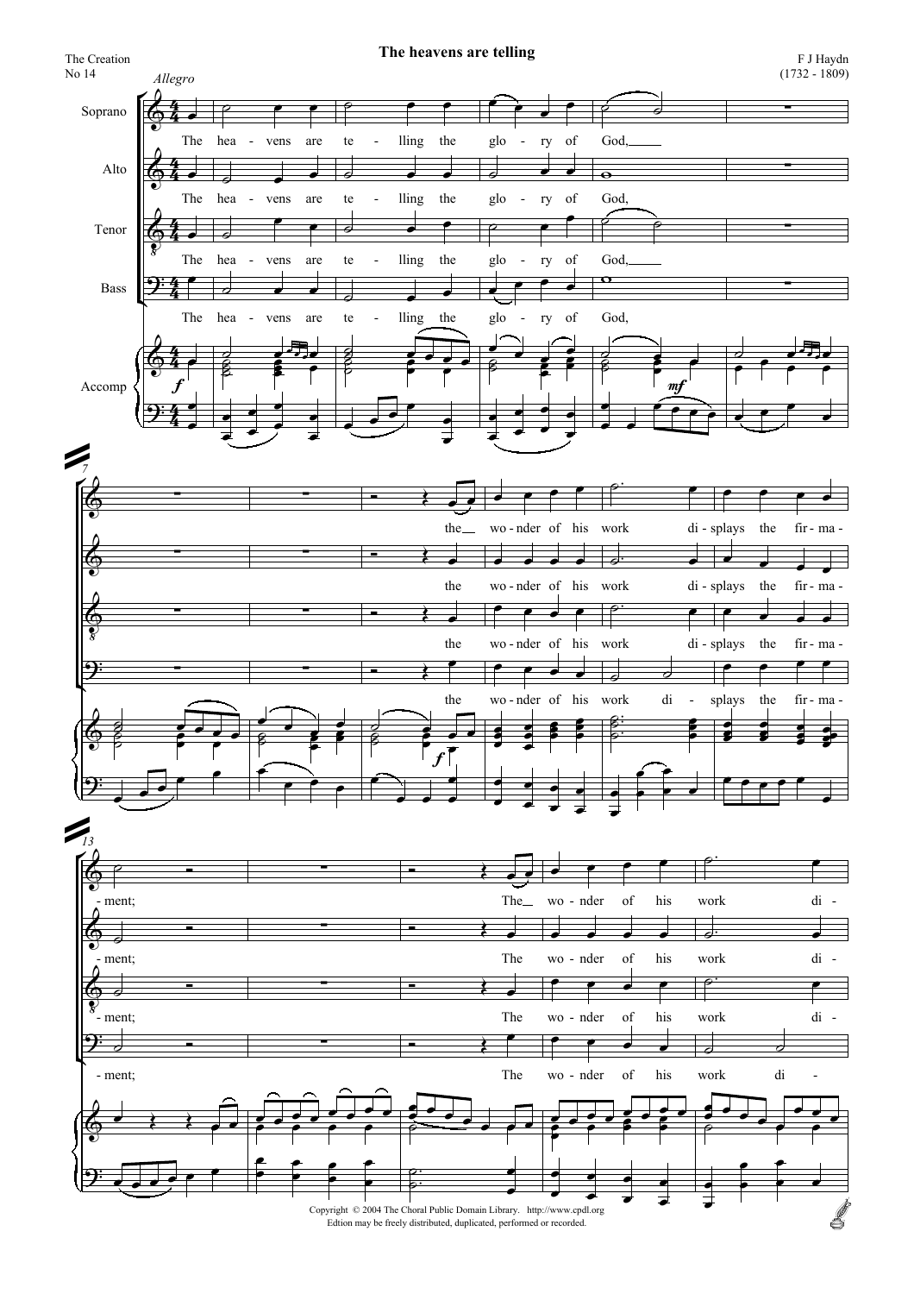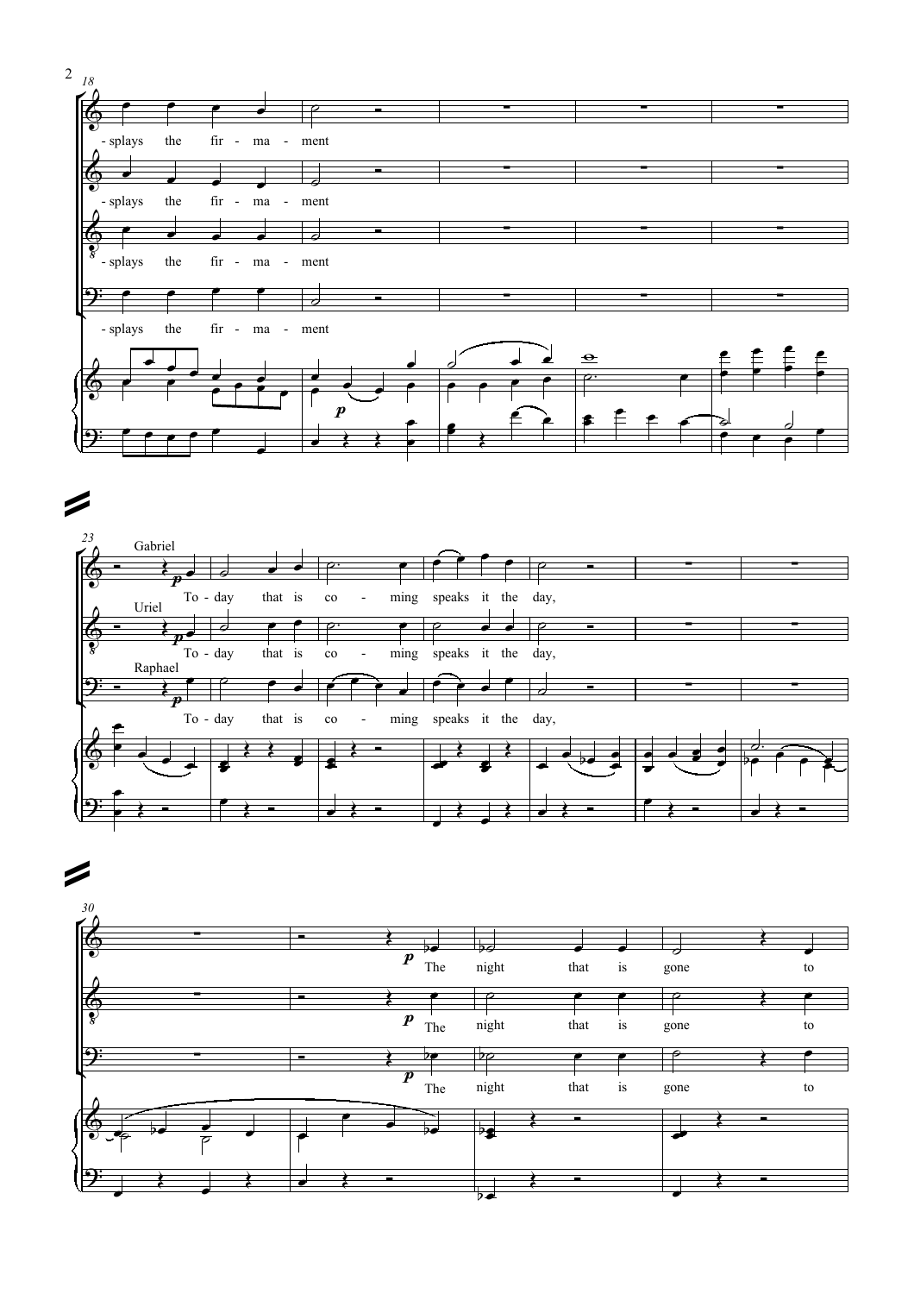



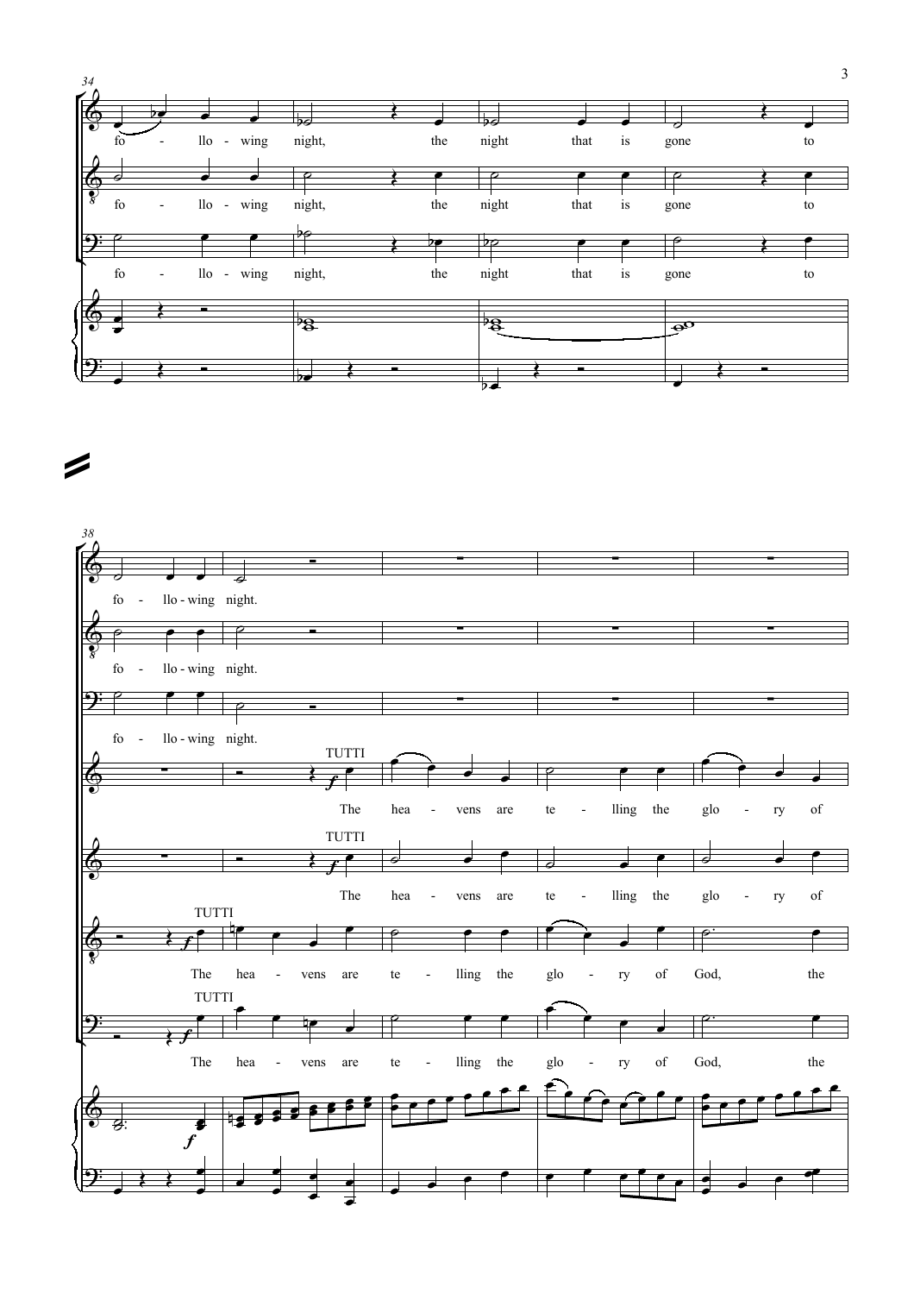

 $\overline{\phantom{a}}$ 

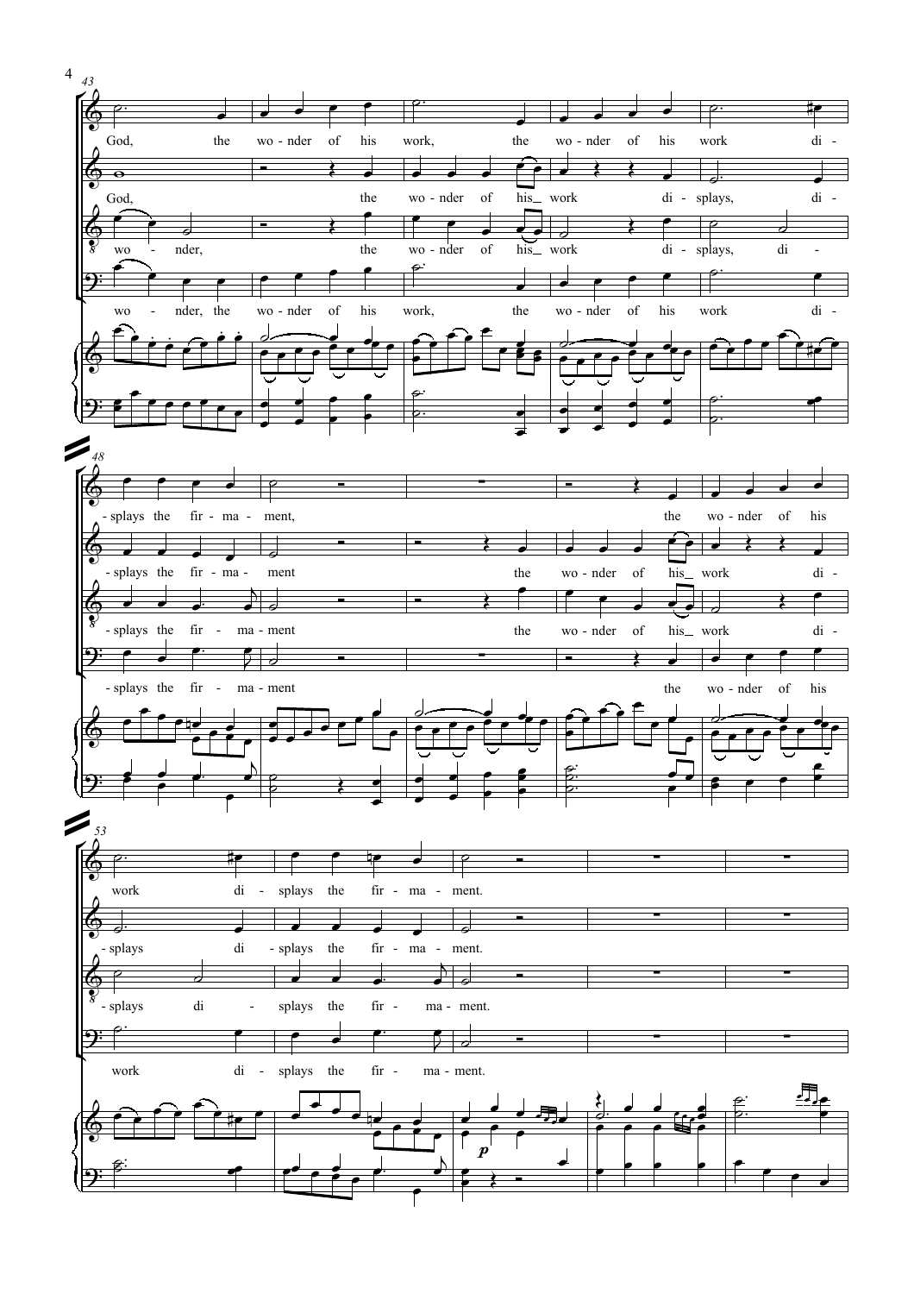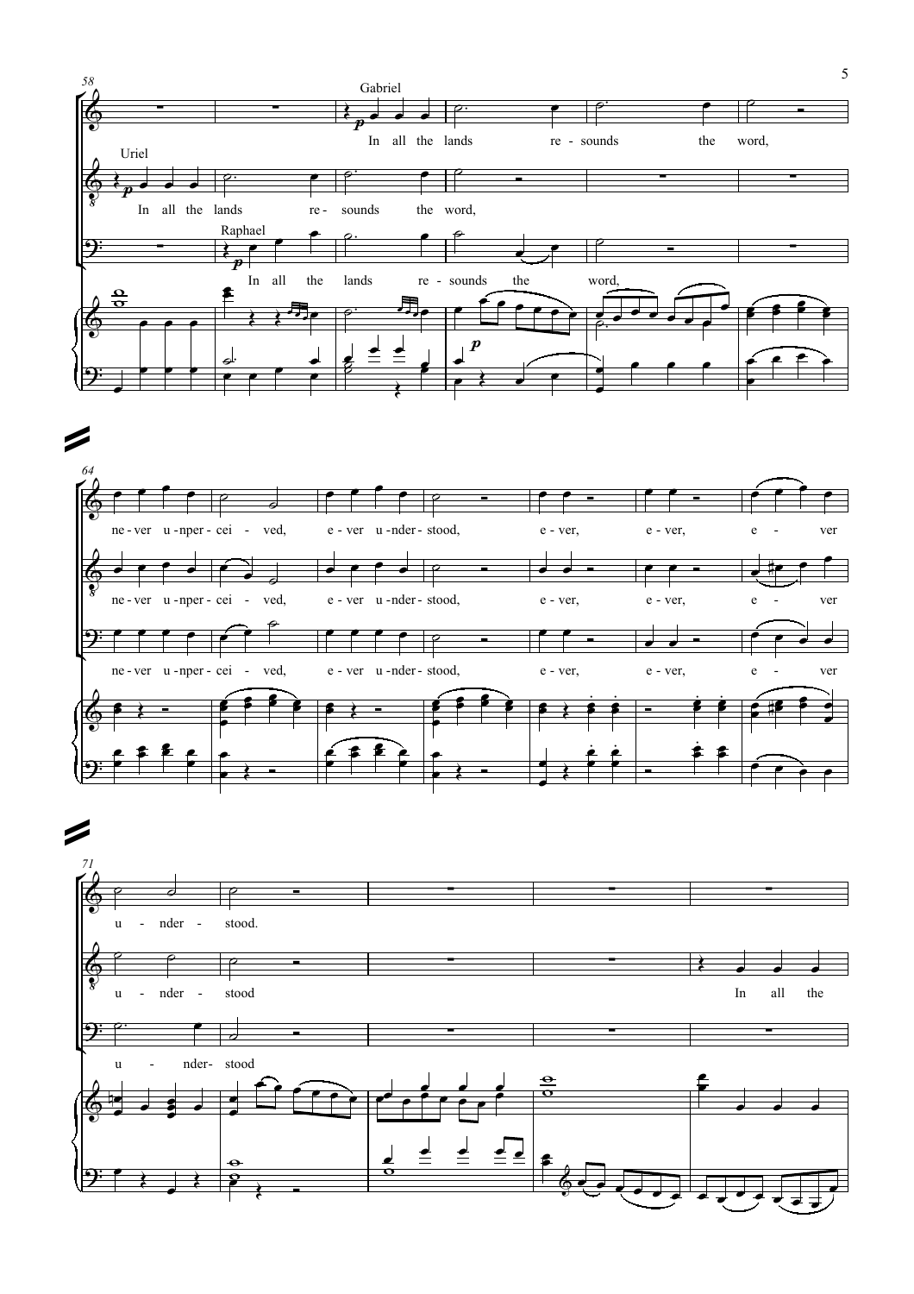





5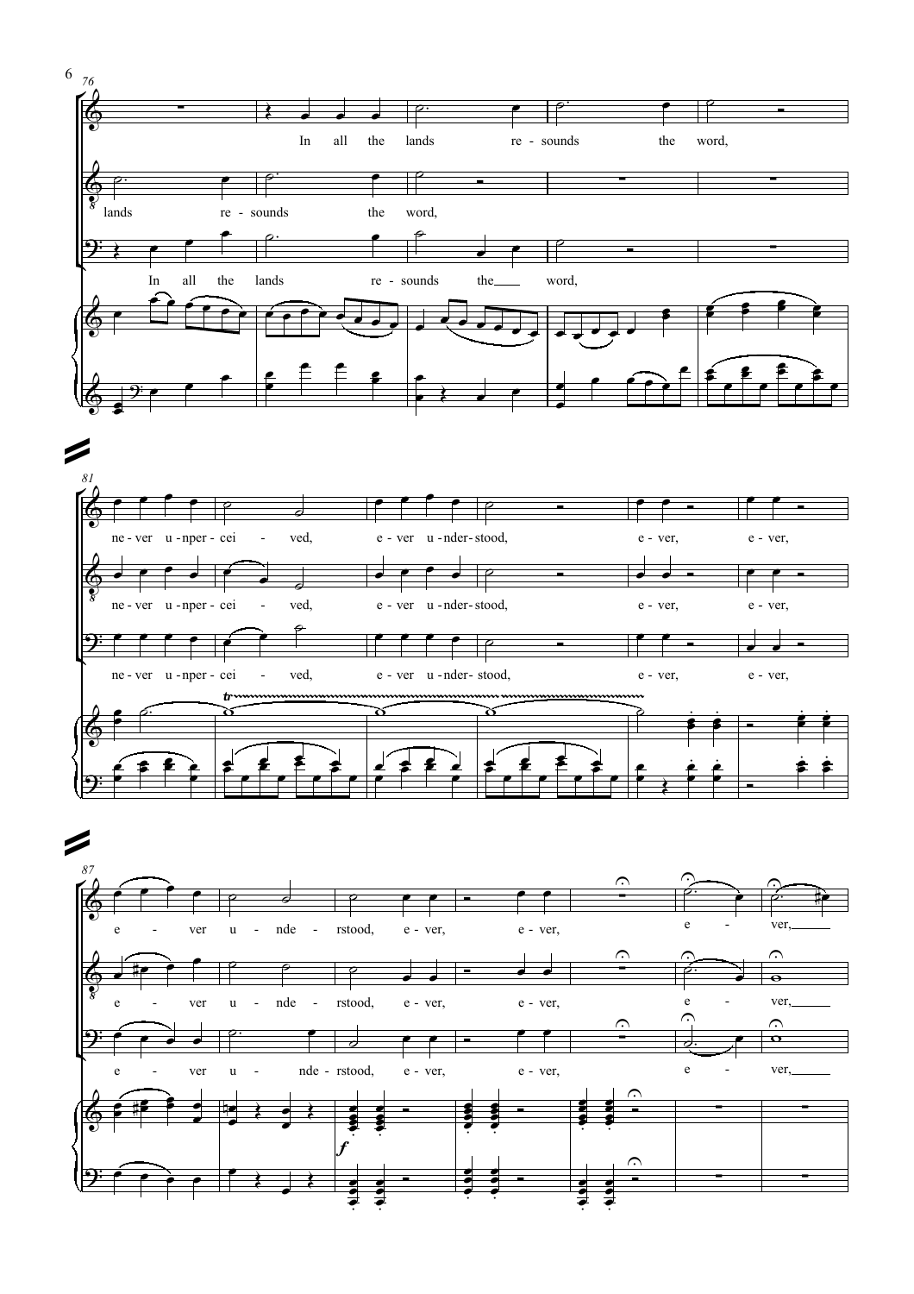



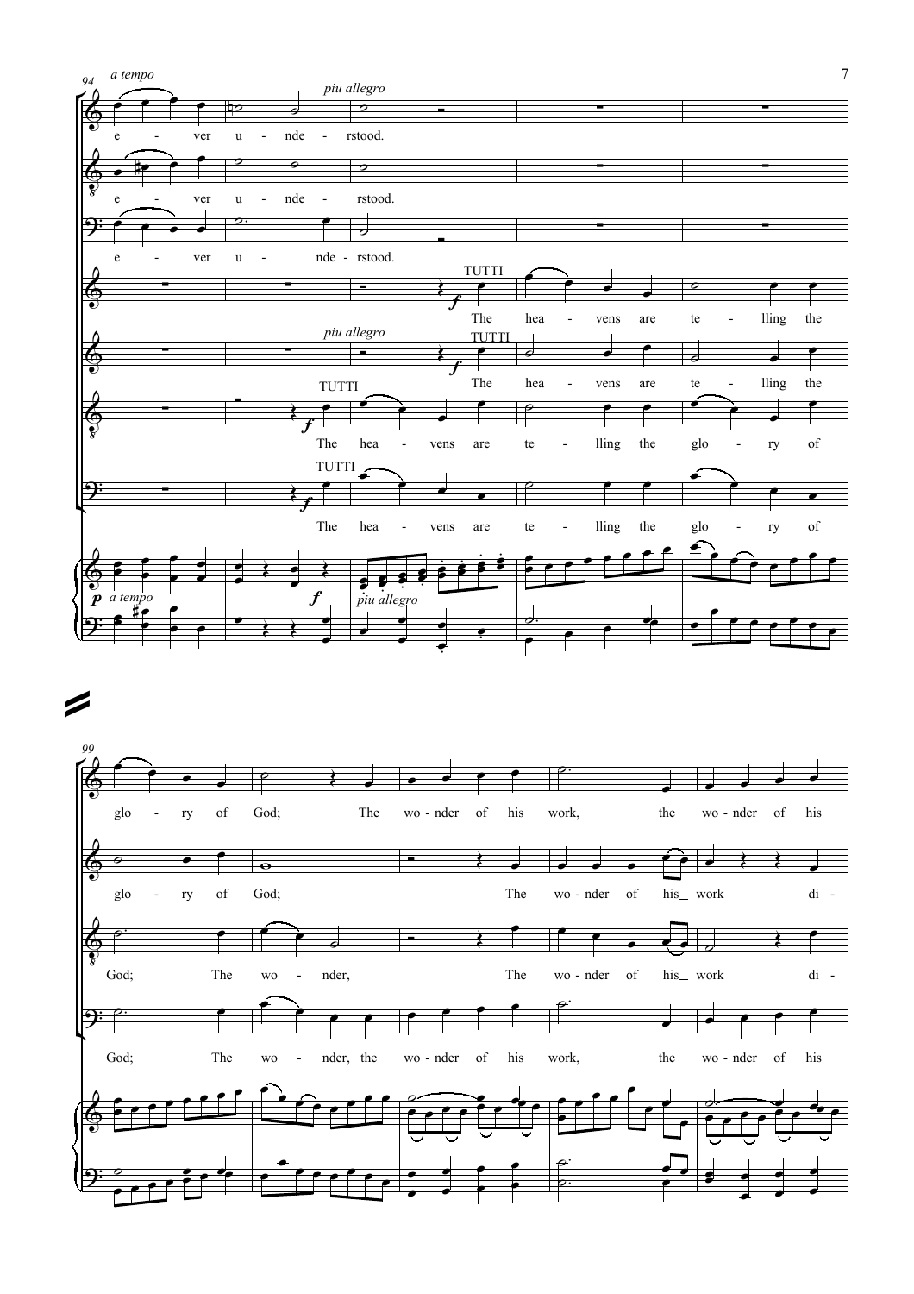



7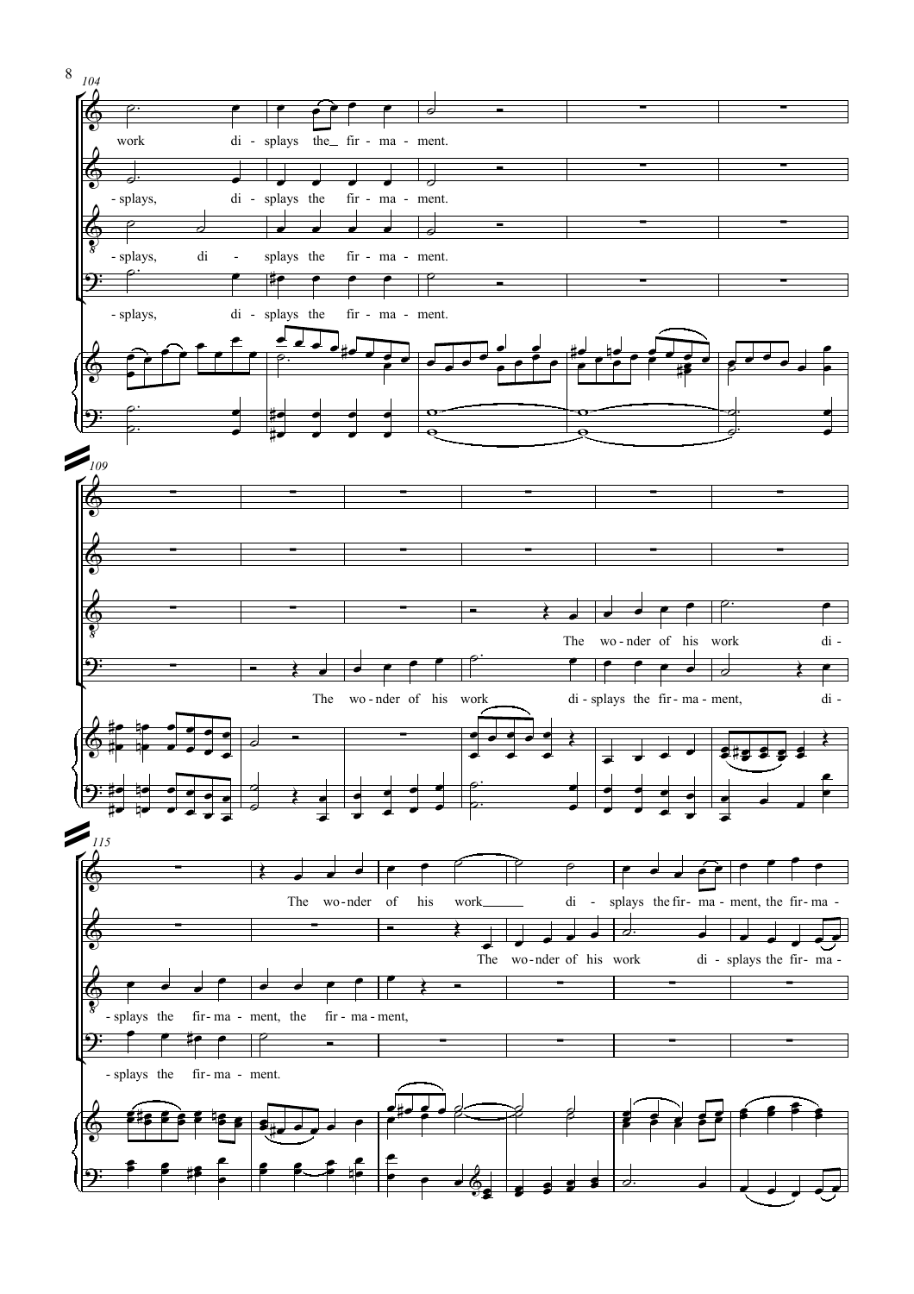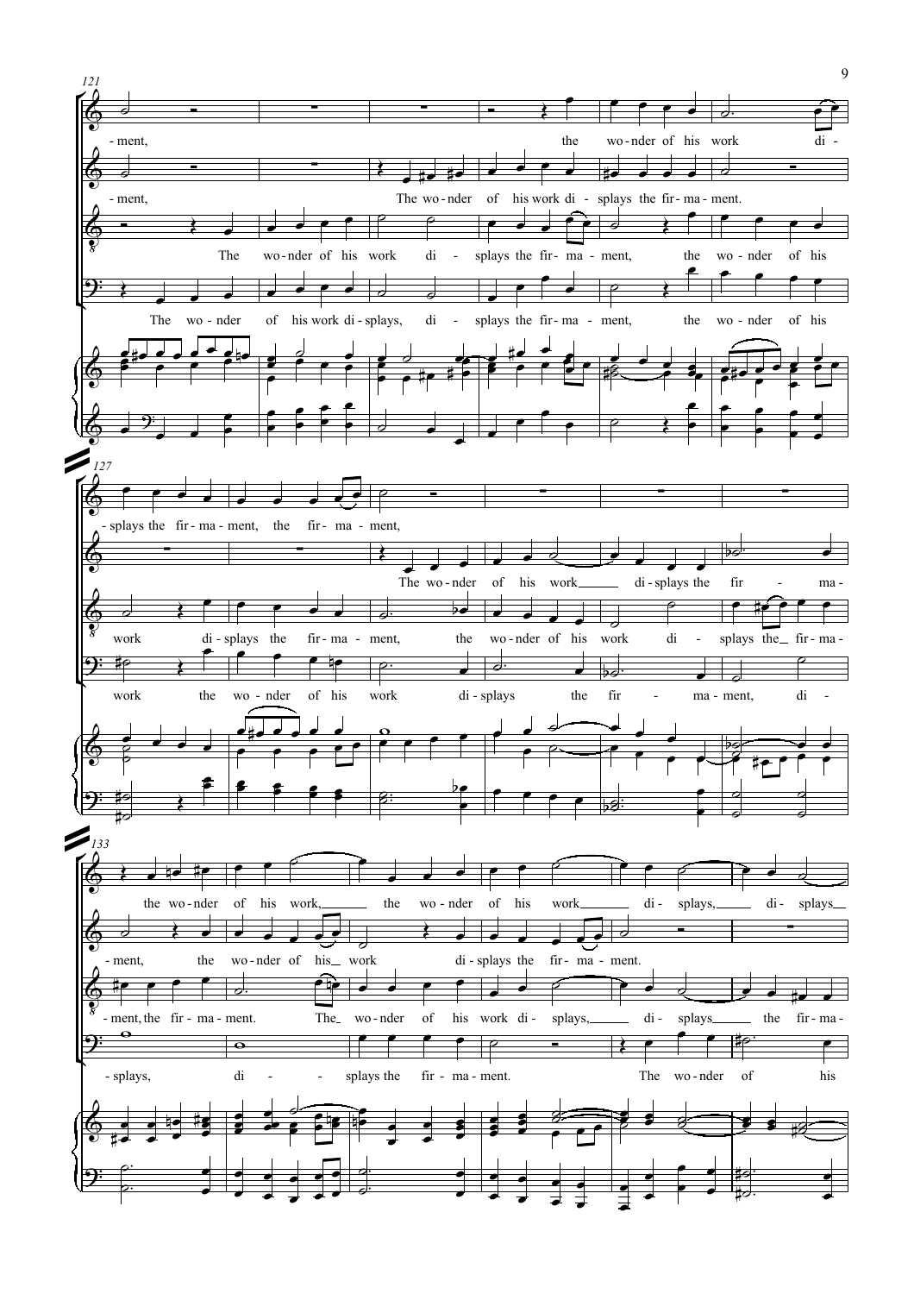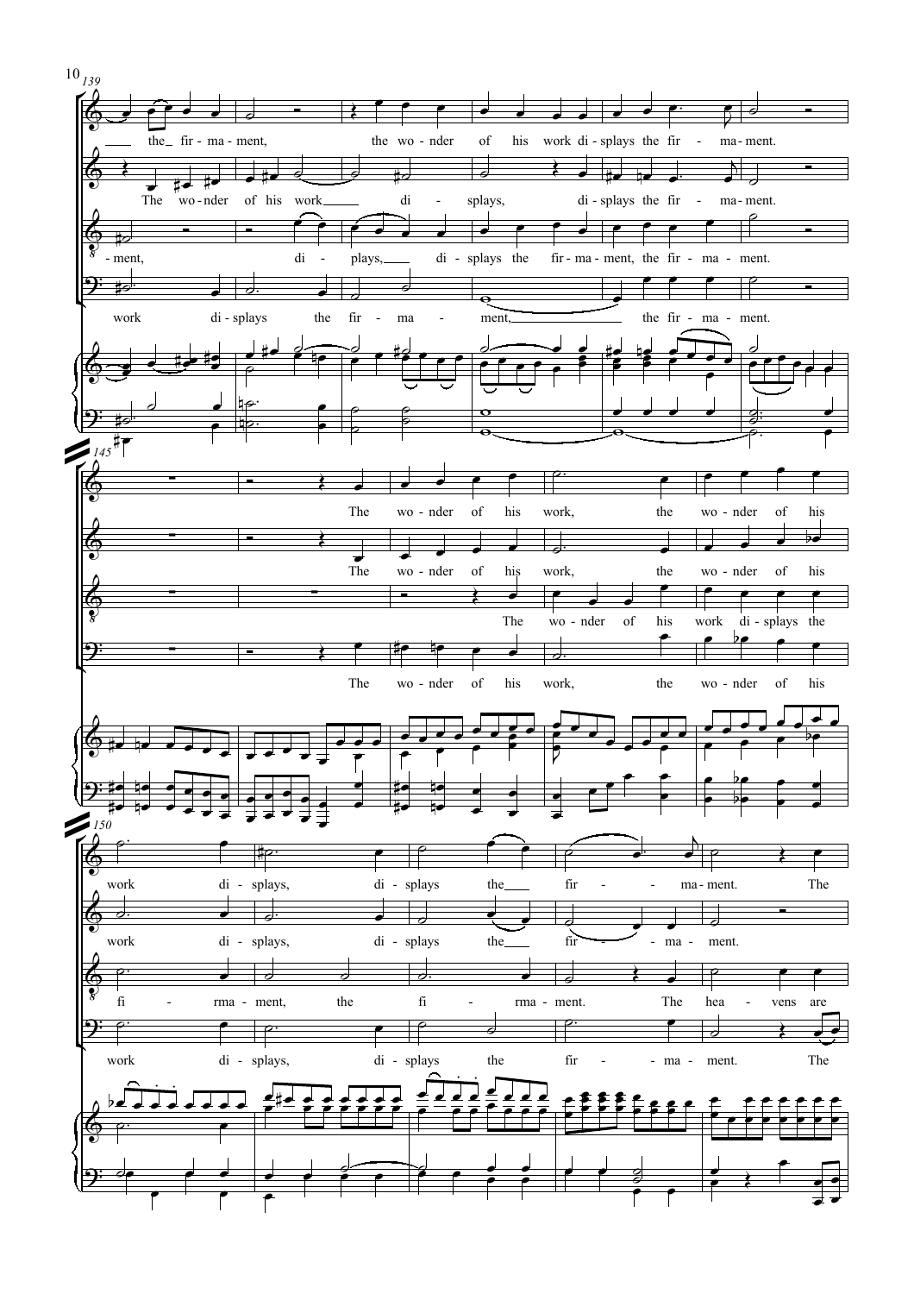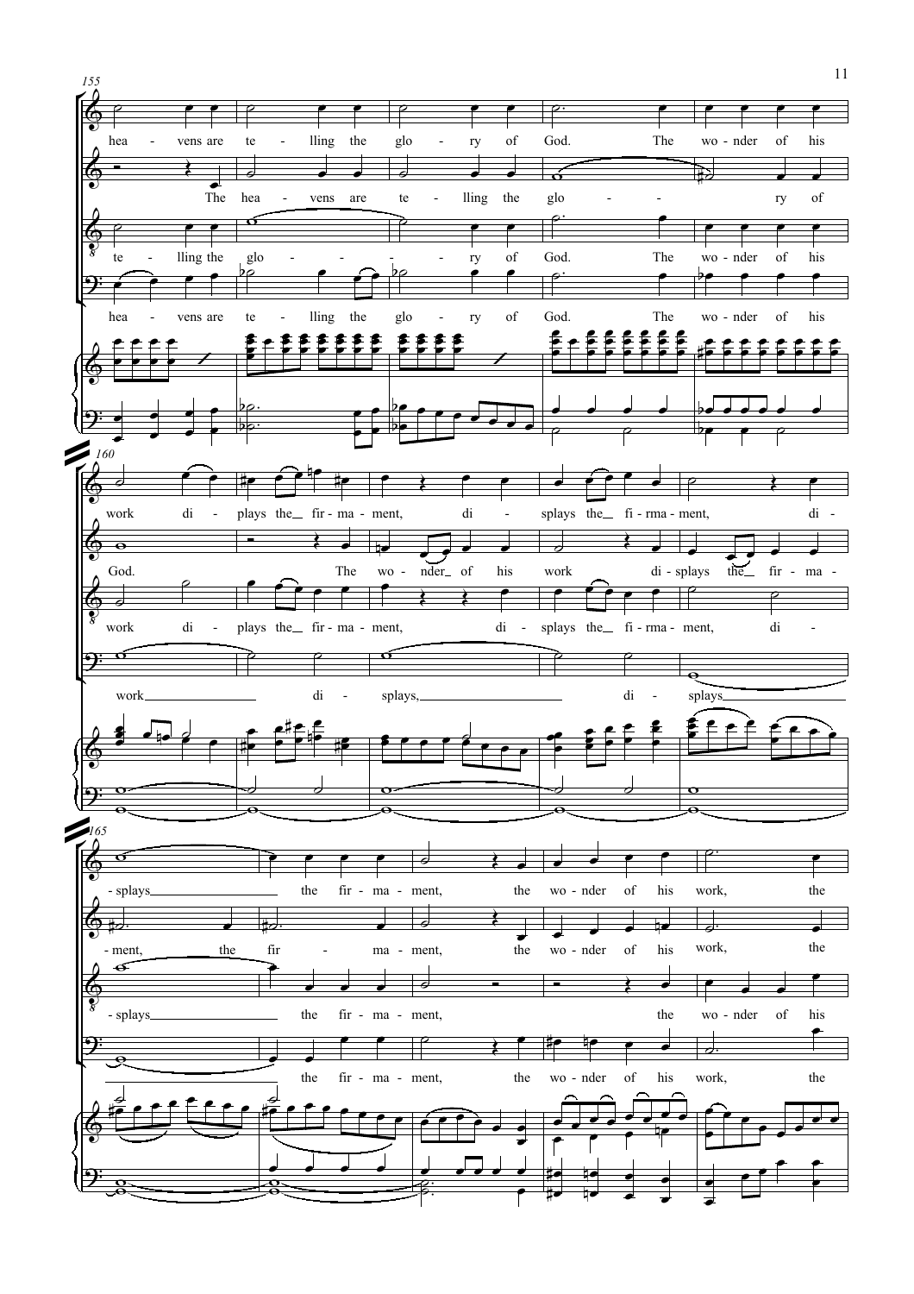

11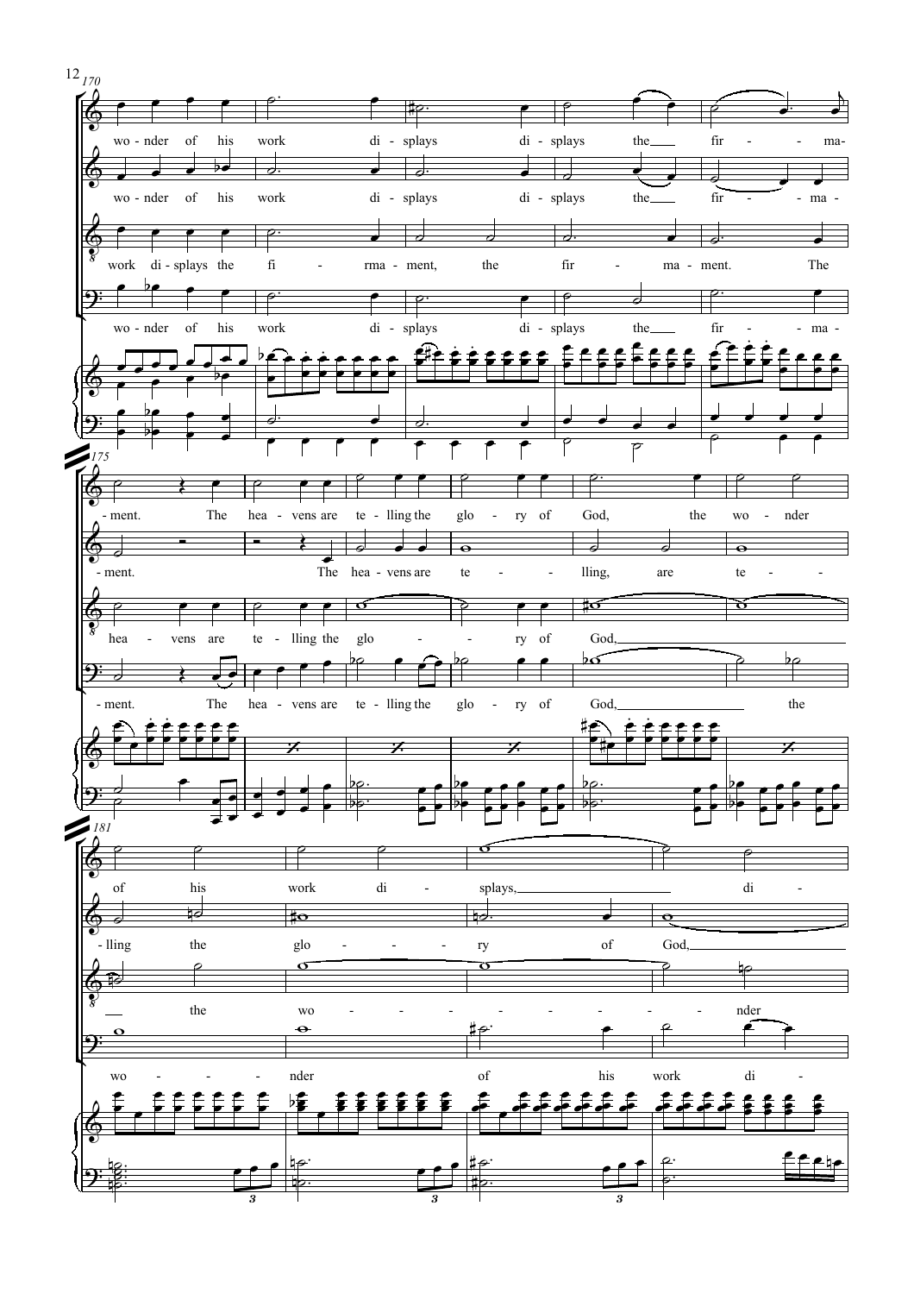